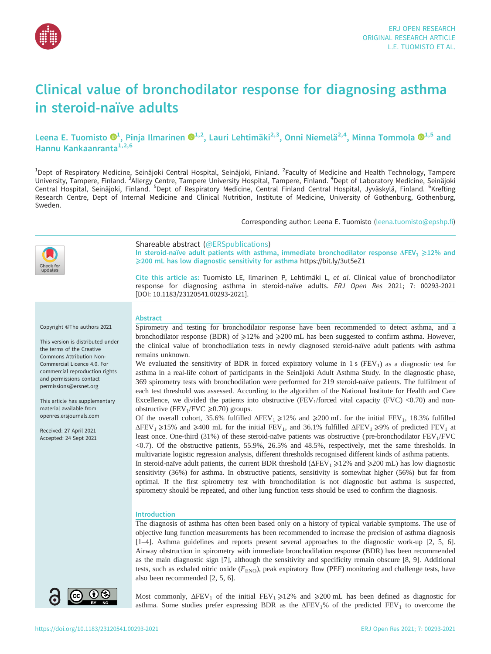

# Clinical value of bronchodilator response for diagnosing asthma in steroid-naïve adults

Leena E. Tuomisto  $\mathbf{O}^1$  $\mathbf{O}^1$ , Pinja Ilmarinen  $\mathbf{O}^{1,2}$ , Lauri Lehtimäki $^{2,3}$ , Onni Niemelä $^{2,4}$ , Minna Tommola  $\mathbf{O}^{1,5}$  and Hannu Kankaanranta<sup>1,2,6</sup>

<sup>1</sup>Dept of Respiratory Medicine, Seinäjoki Central Hospital, Seinäjoki, Finland. <sup>2</sup>Faculty of Medicine and Health Technology, Tampere University, Tampere, Finland. <sup>3</sup>Allergy Centre, Tampere University Hospital, Tampere, Finland. <sup>4</sup>Dept of Laboratory Medicine, Seinäjoki Central Hospital, Seinäjoki, Finland. <sup>5</sup>Dept of Respiratory Medicine, Central Finland Central Hospital, Jyväskylä, Finland. <sup>6</sup>Krefting Research Centre, Dept of Internal Medicine and Clinical Nutrition, Institute of Medicine, University of Gothenburg, Gothenburg, Sweden.

Corresponding author: Leena E. Tuomisto [\(leena.tuomisto@epshp.fi](mailto:leena.tuomisto@epshp.fi))

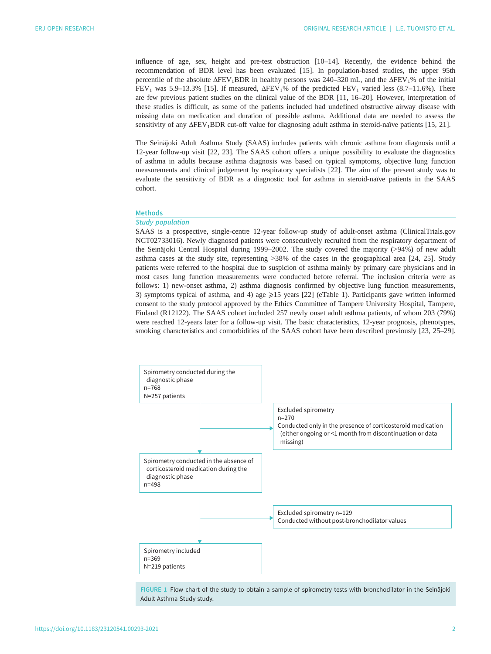<span id="page-1-0"></span>influence of age, sex, height and pre-test obstruction [[10](#page-8-0)–[14](#page-9-0)]. Recently, the evidence behind the recommendation of BDR level has been evaluated [[15\]](#page-9-0). In population-based studies, the upper 95th percentile of the absolute  $\Delta FEV_1BDR$  in healthy persons was 240–320 mL, and the  $\Delta FEV_1\%$  of the initial FEV<sub>1</sub> was 5.9–13.3% [[15\]](#page-9-0). If measured,  $\Delta$ FEV<sub>1</sub>% of the predicted FEV<sub>1</sub> varied less (8.7–11.6%). There are few previous patient studies on the clinical value of the BDR [[11,](#page-8-0) [16](#page-9-0)–[20\]](#page-9-0). However, interpretation of these studies is difficult, as some of the patients included had undefined obstructive airway disease with missing data on medication and duration of possible asthma. Additional data are needed to assess the sensitivity of any ΔFEV1BDR cut-off value for diagnosing adult asthma in steroid-naïve patients [[15, 21\]](#page-9-0).

The Seinäjoki Adult Asthma Study (SAAS) includes patients with chronic asthma from diagnosis until a 12-year follow-up visit [\[22](#page-9-0), [23\]](#page-9-0). The SAAS cohort offers a unique possibility to evaluate the diagnostics of asthma in adults because asthma diagnosis was based on typical symptoms, objective lung function measurements and clinical judgement by respiratory specialists [\[22](#page-9-0)]. The aim of the present study was to evaluate the sensitivity of BDR as a diagnostic tool for asthma in steroid-naïve patients in the SAAS cohort.

# Methods

## Study population

SAAS is a prospective, single-centre 12-year follow-up study of adult-onset asthma ([ClinicalTrials.gov](https://clinicaltrials.gov/) NCT02733016). Newly diagnosed patients were consecutively recruited from the respiratory department of the Seinäjoki Central Hospital during 1999–2002. The study covered the majority (>94%) of new adult asthma cases at the study site, representing >38% of the cases in the geographical area [[24, 25\]](#page-9-0). Study patients were referred to the hospital due to suspicion of asthma mainly by primary care physicians and in most cases lung function measurements were conducted before referral. The inclusion criteria were as follows: 1) new-onset asthma, 2) asthma diagnosis confirmed by objective lung function measurements, 3) symptoms typical of asthma, and 4) age  $\geq$ 15 years [[22](#page-9-0)] [\(eTable 1\)](http://openres.ersjournals.com/lookup/doi/10.1183/23120541.00293-2021.figures-only#fig-data-supplementary-materials). Participants gave written informed consent to the study protocol approved by the Ethics Committee of Tampere University Hospital, Tampere, Finland (R12122). The SAAS cohort included 257 newly onset adult asthma patients, of whom 203 (79%) were reached 12-years later for a follow-up visit. The basic characteristics, 12-year prognosis, phenotypes, smoking characteristics and comorbidities of the SAAS cohort have been described previously [\[23](#page-9-0), [25](#page-9-0)–[29\]](#page-9-0).



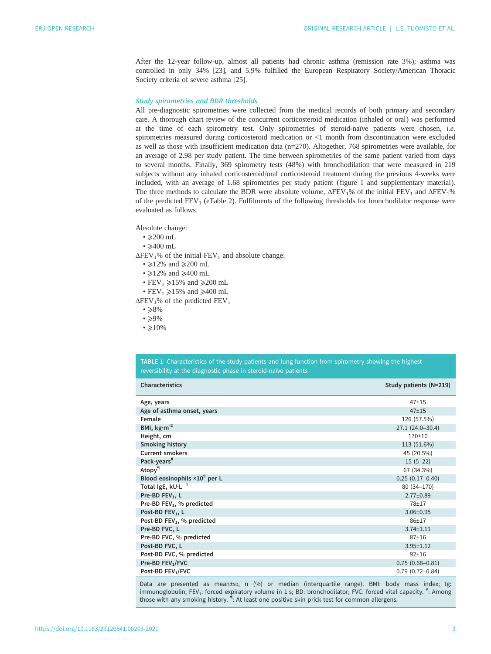<span id="page-2-0"></span>After the 12-year follow-up, almost all patients had chronic asthma (remission rate 3%); asthma was controlled in only 34% [\[23](#page-9-0)], and 5.9% fulfilled the European Respiratory Society/American Thoracic Society criteria of severe asthma [[25\]](#page-9-0).

## Study spirometries and BDR thresholds

All pre-diagnostic spirometries were collected from the medical records of both primary and secondary care. A thorough chart review of the concurrent corticosteroid medication (inhaled or oral) was performed at the time of each spirometry test. Only spirometries of steroid-naïve patients were chosen, i.e. spirometries measured during corticosteroid medication or <1 month from discontinuation were excluded as well as those with insufficient medication data (n=270). Altogether, 768 spirometries were available, for an average of 2.98 per study patient. The time between spirometries of the same patient varied from days to several months. Finally, 369 spirometry tests (48%) with bronchodilation that were measured in 219 subjects without any inhaled corticosteroid/oral corticosteroid treatment during the previous 4-weeks were included, with an average of 1.68 spirometries per study patient ([figure 1](#page-1-0) and [supplementary material](http://openres.ersjournals.com/lookup/doi/10.1183/23120541.00293-2021.figures-only#fig-data-supplementary-materials)). The three methods to calculate the BDR were absolute volume,  $\Delta FEV_1\%$  of the initial  $FEV_1$  and  $\Delta FEV_1\%$ of the predicted FEV<sub>1</sub> [\(eTable 2\)](http://openres.ersjournals.com/lookup/doi/10.1183/23120541.00293-2021.figures-only#fig-data-supplementary-materials). Fulfilments of the following thresholds for bronchodilator response were evaluated as follows.

Absolute change:

- $\cdot$  >200 mL
- $\cdot$   $\geqslant$  400 mL
- $\Delta$ FEV<sub>1</sub>% of the initial FEV<sub>1</sub> and absolute change:
	- $\geq$ 12% and  $\geq$ 200 mL
	- $\geq$ 12% and  $\geq$ 400 mL
	- $FEV_1 \ge 15\%$  and  $\ge 200$  mL
	- $FEV_1 \geq 15\%$  and  $\geq 400$  mL

 $\Delta$ FEV<sub>1</sub>% of the predicted FEV<sub>1</sub>

- $\cdot$  >8%
- $\cdot$   $\geqslant$  9%
- $\cdot$  >10%

TABLE 1 Characteristics of the study patients and lung function from spirometry showing the highest reversibility at the diagnostic phase in steroid-naïve patients

| <b>Characteristics</b>                 | Study patients (N=219) |
|----------------------------------------|------------------------|
| Age, years                             | $47 + 15$              |
| Age of asthma onset, years             | $47 + 15$              |
| Female                                 | 126 (57.5%)            |
| BMI, $\text{kg}\cdot\text{m}^{-2}$     | 27.1 (24.0-30.4)       |
| Height, cm                             | $170 + 10$             |
| <b>Smoking history</b>                 | 113 (51.6%)            |
| <b>Current smokers</b>                 | 45 (20.5%)             |
| Pack-years <sup>#</sup>                | $15(5-22)$             |
| Atopy <sup>¶</sup>                     | 67 (34.3%)             |
| Blood eosinophils $\times 10^9$ per L  | $0.25(0.17-0.40)$      |
| Total IgE, $kU \cdot L^{-1}$           | 80 (34-170)            |
| Pre-BD FEV <sub>1</sub> , L            | $2.77 \pm 0.89$        |
| Pre-BD $FEV_1$ , % predicted           | 78±17                  |
| Post-BD FEV <sub>1</sub> , L           | $3.06 \pm 0.95$        |
| Post-BD FEV <sub>1</sub> , % predicted | $86 + 17$              |
| Pre-BD FVC, L                          | $3.74 \pm 1.11$        |
| Pre-BD FVC, % predicted                | $87 + 16$              |
| Post-BD FVC, L                         | $3.95 \pm 1.12$        |
| Post-BD FVC, % predicted               | $92 + 16$              |
| Pre-BD FEV <sub>1</sub> /FVC           | $0.75(0.68 - 0.81)$    |
| Post-BD FEV <sub>1</sub> /FVC          | $0.79(0.72 - 0.84)$    |

Data are presented as mean±sp, n (%) or median (interquartile range). BMI: body mass index; Ig: immunoglobulin; FEV<sub>1</sub>: forced expiratory volume in 1 s; BD: bronchodilator; FVC: forced vital capacity. <sup>#</sup>: Among those with any smoking history. <sup>i</sup>: At least one positive skin prick test for common allergens.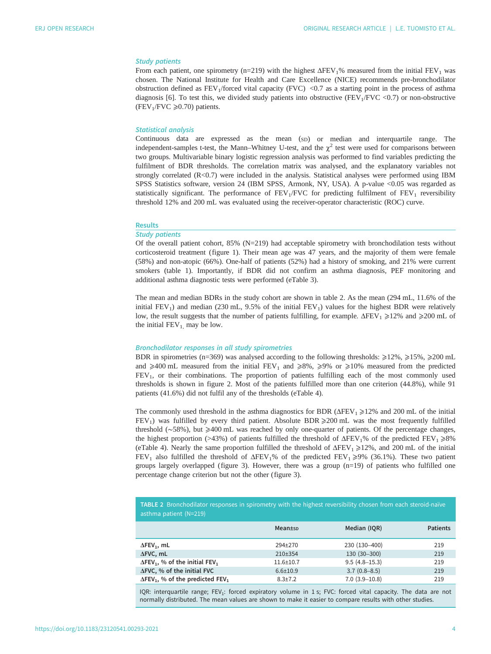# Study patients

From each patient, one spirometry (n=219) with the highest  $\Delta FEV_1$ % measured from the initial FEV<sub>1</sub> was chosen. The National Institute for Health and Care Excellence (NICE) recommends pre-bronchodilator obstruction defined as  $FEV_1/fored$  vital capacity (FVC) <0.7 as a starting point in the process of asthma diagnosis [\[6\]](#page-8-0). To test this, we divided study patients into obstructive (FEV<sub>1</sub>/FVC <0.7) or non-obstructive (FEV<sub>1</sub>/FVC  $\geq 0.70$ ) patients.

## Statistical analysis

Continuous data are expressed as the mean (SD) or median and interquartile range. The independent-samples t-test, the Mann–Whitney U-test, and the  $\chi^2$  test were used for comparisons between two groups. Multivariable binary logistic regression analysis was performed to find variables predicting the fulfilment of BDR thresholds. The correlation matrix was analysed, and the explanatory variables not strongly correlated (R<0.7) were included in the analysis. Statistical analyses were performed using IBM SPSS Statistics software, version 24 (IBM SPSS, Armonk, NY, USA). A p-value <0.05 was regarded as statistically significant. The performance of  $FEV<sub>1</sub>/FVC$  for predicting fulfilment of  $FEV<sub>1</sub>$  reversibility threshold 12% and 200 mL was evaluated using the receiver-operator characteristic (ROC) curve.

#### Results

#### Study patients

Of the overall patient cohort, 85% (N=219) had acceptable spirometry with bronchodilation tests without corticosteroid treatment ([figure 1](#page-1-0)). Their mean age was 47 years, and the majority of them were female (58%) and non-atopic (66%). One-half of patients (52%) had a history of smoking, and 21% were current smokers [\(table 1](#page-2-0)). Importantly, if BDR did not confirm an asthma diagnosis, PEF monitoring and additional asthma diagnostic tests were performed [\(eTable 3](http://openres.ersjournals.com/lookup/doi/10.1183/23120541.00293-2021.figures-only#fig-data-supplementary-materials)).

The mean and median BDRs in the study cohort are shown in table 2. As the mean (294 mL, 11.6% of the initial  $FEV<sub>1</sub>$ ) and median (230 mL, 9.5% of the initial  $FEV<sub>1</sub>$ ) values for the highest BDR were relatively low, the result suggests that the number of patients fulfilling, for example. ΔFEV<sub>1</sub> ≥12% and ≥200 mL of the initial  $FEV_1$  may be low.

#### Bronchodilator responses in all study spirometries

BDR in spirometries (n=369) was analysed according to the following thresholds:  $\geq$ 12%,  $\geq$ 15%,  $\geq$ 200 mL and  $\geq 400$  mL measured from the initial FEV<sub>1</sub> and  $\geq 8\%$ ,  $\geq 9\%$  or  $\geq 10\%$  measured from the predicted FEV1, or their combinations. The proportion of patients fulfilling each of the most commonly used thresholds is shown in [figure 2.](#page-4-0) Most of the patients fulfilled more than one criterion (44.8%), while 91 patients (41.6%) did not fulfil any of the thresholds ([eTable 4](http://openres.ersjournals.com/lookup/doi/10.1183/23120541.00293-2021.figures-only#fig-data-supplementary-materials)).

The commonly used threshold in the asthma diagnostics for BDR ( $\Delta$ FEV<sub>1</sub> $\geq$ 12% and 200 mL of the initial  $FEV<sub>1</sub>$ ) was fulfilled by every third patient. Absolute BDR  $\geq$ 200 mL was the most frequently fulfilled threshold (∼58%), but ⩾400 mL was reached by only one-quarter of patients. Of the percentage changes, the highest proportion (>43%) of patients fulfilled the threshold of  $\Delta FEV_1\%$  of the predicted  $FEV_1 \ge 8\%$ [\(eTable 4](http://openres.ersjournals.com/lookup/doi/10.1183/23120541.00293-2021.figures-only#fig-data-supplementary-materials)). Nearly the same proportion fulfilled the threshold of  $\Delta FEV_1 \geq 12\%$ , and 200 mL of the initial FEV<sub>1</sub> also fulfilled the threshold of  $\Delta$ FEV<sub>1</sub>% of the predicted FEV<sub>1</sub>  $\geq$ 9% (36.1%). These two patient groups largely overlapped [\(figure 3](#page-4-0)). However, there was a group  $(n=19)$  of patients who fulfilled one percentage change criterion but not the other ([figure 3\)](#page-4-0).

| TABLE 2 Bronchodilator responses in spirometry with the highest reversibility chosen from each steroid-naïve |  |
|--------------------------------------------------------------------------------------------------------------|--|
| asthma patient (N=219)                                                                                       |  |

|                                                                 | Mean±sp         | Median (IQR)      | <b>Patients</b> |
|-----------------------------------------------------------------|-----------------|-------------------|-----------------|
| $\Delta$ FEV <sub>1</sub> , mL                                  | 294+270         | 230 (130-400)     | 219             |
| $\Delta FVC$ , mL                                               | $210+354$       | 130 (30-300)      | 219             |
| $\Delta$ FEV <sub>1</sub> , % of the initial FEV <sub>1</sub>   | $11.6 \pm 10.7$ | $9.5(4.8 - 15.3)$ | 219             |
| ΔFVC, % of the initial FVC                                      | $6.6 \pm 10.9$  | $3.7(0.8 - 8.5)$  | 219             |
| $\Delta$ FEV <sub>1</sub> , % of the predicted FEV <sub>1</sub> | $8.3 \pm 7.2$   | $7.0(3.9-10.8)$   | 219             |

IQR: interquartile range; FEV<sub>1</sub>: forced expiratory volume in 1 s; FVC: forced vital capacity. The data are not normally distributed. The mean values are shown to make it easier to compare results with other studies.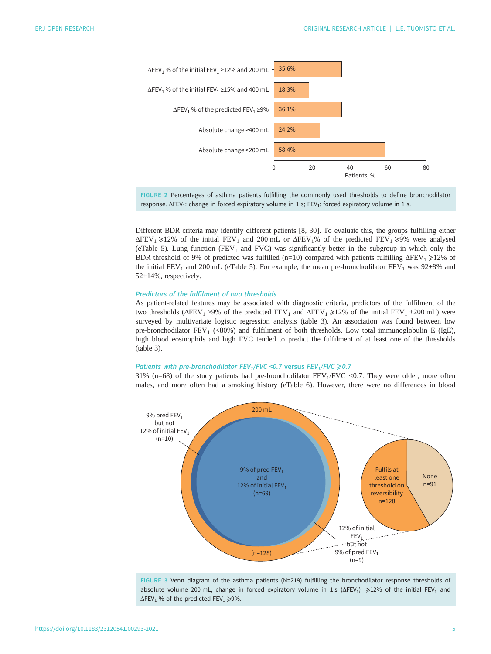<span id="page-4-0"></span>

FIGURE 2 Percentages of asthma patients fulfilling the commonly used thresholds to define bronchodilator response. ΔFEV<sub>1</sub>: change in forced expiratory volume in 1 s; FEV<sub>1</sub>: forced expiratory volume in 1 s.

Different BDR criteria may identify different patients [[8](#page-8-0), [30](#page-9-0)]. To evaluate this, the groups fulfilling either  $\Delta$ FEV<sub>1</sub>  $\geq$ 12% of the initial FEV<sub>1</sub> and 200 mL or  $\Delta$ FEV<sub>1</sub>% of the predicted FEV<sub>1</sub>  $\geq$ 9% were analysed [\(eTable 5\)](http://openres.ersjournals.com/lookup/doi/10.1183/23120541.00293-2021.figures-only#fig-data-supplementary-materials). Lung function (FEV<sub>1</sub> and FVC) was significantly better in the subgroup in which only the BDR threshold of 9% of predicted was fulfilled (n=10) compared with patients fulfilling  $\Delta FEV_1 \geq 12\%$  of the initial FEV<sub>1</sub> and 200 mL [\(eTable 5](http://openres.ersjournals.com/lookup/doi/10.1183/23120541.00293-2021.figures-only#fig-data-supplementary-materials)). For example, the mean pre-bronchodilator FEV<sub>1</sub> was 92 $\pm$ 8% and 52±14%, respectively.

## Predictors of the fulfilment of two thresholds

As patient-related features may be associated with diagnostic criteria, predictors of the fulfilment of the two thresholds ( $\Delta$ FEV<sub>1</sub> >9% of the predicted FEV<sub>1</sub> and  $\Delta$ FEV<sub>1</sub>  $\geq$ 12% of the initial FEV<sub>1</sub> +200 mL) were surveyed by multivariate logistic regression analysis ([table 3\)](#page-5-0). An association was found between low pre-bronchodilator FEV<sub>1</sub> (<80%) and fulfilment of both thresholds. Low total immunoglobulin E (IgE), high blood eosinophils and high FVC tended to predict the fulfilment of at least one of the thresholds [\(table 3\)](#page-5-0).

# Patients with pre-bronchodilator FEV<sub>1</sub>/FVC <0.7 versus FEV<sub>1</sub>/FVC  $\geq$ 0.7

31% (n=68) of the study patients had pre-bronchodilator  $FEV_1/FVC$  <0.7. They were older, more often males, and more often had a smoking history [\(eTable 6\)](http://openres.ersjournals.com/lookup/doi/10.1183/23120541.00293-2021.figures-only#fig-data-supplementary-materials). However, there were no differences in blood



FIGURE 3 Venn diagram of the asthma patients (N=219) fulfilling the bronchodilator response thresholds of absolute volume 200 mL, change in forced expiratory volume in 1 s ( $\Delta$ FEV<sub>1</sub>)  $\geq$ 12% of the initial FEV<sub>1</sub> and  $\Delta$ FEV<sub>1</sub> % of the predicted FEV<sub>1</sub>  $\geq$ 9%.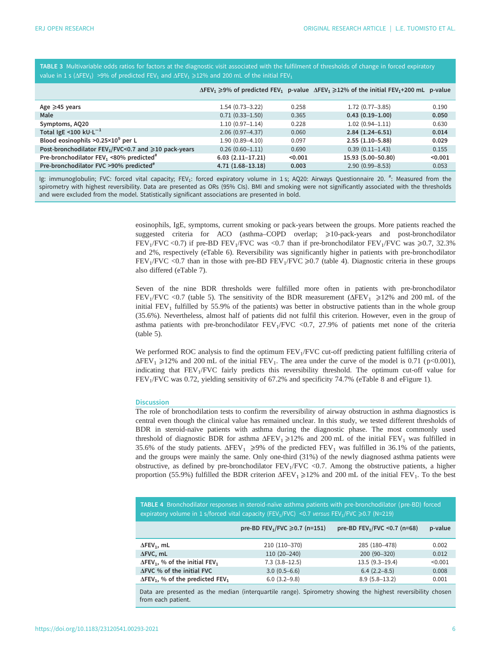<span id="page-5-0"></span>TABLE 3 Multivariable odds ratios for factors at the diagnostic visit associated with the fulfilment of thresholds of change in forced expiratory value in 1 s ( $\Delta$ FEV<sub>1</sub>) >9% of predicted FEV<sub>1</sub> and  $\Delta$ FEV<sub>1</sub>  $\geq$ 12% and 200 mL of the initial FEV<sub>1</sub>

|                                                                        |                     |         | $\Delta$ FEV <sub>1</sub> $\geq$ 9% of predicted FEV <sub>1</sub> p-value $\Delta$ FEV <sub>1</sub> $\geq$ 12% of the initial FEV <sub>1</sub> +200 mL p-value |         |
|------------------------------------------------------------------------|---------------------|---------|----------------------------------------------------------------------------------------------------------------------------------------------------------------|---------|
| Age $\geq 45$ years                                                    | $1.54(0.73 - 3.22)$ | 0.258   | $1.72(0.77 - 3.85)$                                                                                                                                            | 0.190   |
| Male                                                                   | $0.71(0.33 - 1.50)$ | 0.365   | $0.43(0.19-1.00)$                                                                                                                                              | 0.050   |
| Symptoms, AQ20                                                         | $1.10(0.97 - 1.14)$ | 0.228   | $1.02(0.94 - 1.11)$                                                                                                                                            | 0.630   |
| Total IgE <100 $kU \cdot L^{-1}$                                       | $2.06(0.97 - 4.37)$ | 0.060   | $2.84(1.24-6.51)$                                                                                                                                              | 0.014   |
| Blood eosinophils $>0.25\times10^9$ per L                              | $1.90(0.89 - 4.10)$ | 0.097   | $2.55(1.10-5.88)$                                                                                                                                              | 0.029   |
| Post-bronchodilator FEV <sub>1</sub> /FVC<0.7 and $\geq 10$ pack-years | $0.26(0.60 - 1.11)$ | 0.690   | $0.39(0.11 - 1.43)$                                                                                                                                            | 0.155   |
| Pre-bronchodilator FEV <sub>1</sub> <80% predicted <sup>#</sup>        | $6.03(2.11-17.21)$  | < 0.001 | 15.93 (5.00-50.80)                                                                                                                                             | < 0.001 |
| Pre-bronchodilator FVC >90% predicted <sup>#</sup>                     | $4.71(1.68-13.18)$  | 0.003   | $2.90(0.99 - 8.53)$                                                                                                                                            | 0.053   |

Ig: immunoglobulin; FVC: forced vital capacity; FEV<sub>1</sub>: forced expiratory volume in 1s; AQ20: Airways Questionnaire 20. <sup>#</sup>: Measured from the spirometry with highest reversibility. Data are presented as ORs (95% CIs). BMI and smoking were not significantly associated with the thresholds and were excluded from the model. Statistically significant associations are presented in bold.

> eosinophils, IgE, symptoms, current smoking or pack-years between the groups. More patients reached the suggested criteria for ACO (asthma–COPD overlap;  $\geq 10$ -pack-years and post-bronchodilator FEV<sub>1</sub>/FVC <0.7) if pre-BD FEV<sub>1</sub>/FVC was <0.7 than if pre-bronchodilator FEV<sub>1</sub>/FVC was  $\geq 0.7$ , 32.3% and 2%, respectively ([eTable 6\)](http://openres.ersjournals.com/lookup/doi/10.1183/23120541.00293-2021.figures-only#fig-data-supplementary-materials). Reversibility was significantly higher in patients with pre-bronchodilator FEV<sub>1</sub>/FVC <0.7 than in those with pre-BD FEV<sub>1</sub>/FVC  $\geq$ 0.7 (table 4). Diagnostic criteria in these groups also differed ([eTable 7](http://openres.ersjournals.com/lookup/doi/10.1183/23120541.00293-2021.figures-only#fig-data-supplementary-materials)).

> Seven of the nine BDR thresholds were fulfilled more often in patients with pre-bronchodilator FEV<sub>1</sub>/FVC <0.7 [\(table 5\)](#page-6-0). The sensitivity of the BDR measurement ( $ΔFEV<sub>1</sub> \ge 12%$  and 200 mL of the initial  $FEV<sub>1</sub>$  fulfilled by 55.9% of the patients) was better in obstructive patients than in the whole group (35.6%). Nevertheless, almost half of patients did not fulfil this criterion. However, even in the group of asthma patients with pre-bronchodilator  $FEV<sub>1</sub>/FVC$  <0.7, 27.9% of patients met none of the criteria [\(table 5\)](#page-6-0).

> We performed ROC analysis to find the optimum  $FEV<sub>1</sub>/FVC$  cut-off predicting patient fulfilling criteria of  $\Delta$ FEV<sub>1</sub>  $\geq$ 12% and 200 mL of the initial FEV<sub>1</sub>. The area under the curve of the model is 0.71 (p<0.001), indicating that  $FEV<sub>1</sub>/FVC$  fairly predicts this reversibility threshold. The optimum cut-off value for FEV1/FVC was 0.72, yielding sensitivity of 67.2% and specificity 74.7% [\(eTable 8 and eFigure 1\)](http://openres.ersjournals.com/lookup/doi/10.1183/23120541.00293-2021.figures-only#fig-data-supplementary-materials).

## **Discussion**

The role of bronchodilation tests to confirm the reversibility of airway obstruction in asthma diagnostics is central even though the clinical value has remained unclear. In this study, we tested different thresholds of BDR in steroid-naïve patients with asthma during the diagnostic phase. The most commonly used threshold of diagnostic BDR for asthma  $\Delta$ FEV<sub>1</sub>  $\geq$ 12% and 200 mL of the initial FEV<sub>1</sub> was fulfilled in 35.6% of the study patients.  $\Delta FEV_1 \geq 9\%$  of the predicted  $FEV_1$  was fulfilled in 36.1% of the patients, and the groups were mainly the same. Only one-third (31%) of the newly diagnosed asthma patients were obstructive, as defined by pre-bronchodilator  $FEV<sub>1</sub>/FVC$  <0.7. Among the obstructive patients, a higher proportion (55.9%) fulfilled the BDR criterion  $\Delta FEV_1 \ge 12\%$  and 200 mL of the initial FEV<sub>1</sub>. To the best

| . TABLE 4 Bronchodilator responses in steroid-naïve asthma patients with pre-bronchodilator (pre-BD) forced [100]           |
|-----------------------------------------------------------------------------------------------------------------------------|
| expiratory volume in 1 s/forced vital capacity (FEV <sub>1</sub> /FVC) <0.7 versus FEV <sub>1</sub> /FVC $\geq 0.7$ (N=219) |

|                                                                 | pre-BD FEV <sub>1</sub> /FVC $\geq 0.7$ (n=151) | pre-BD FEV <sub>1</sub> /FVC < 0.7 (n=68) | p-value |
|-----------------------------------------------------------------|-------------------------------------------------|-------------------------------------------|---------|
| $\Delta$ FEV <sub>1</sub> , mL                                  | 210 (110-370)                                   | 285 (180-478)                             | 0.002   |
| $\Delta FVC$ , mL                                               | $110(20-240)$                                   | 200 (90-320)                              | 0.012   |
| $\Delta$ FEV <sub>1</sub> , % of the initial FEV <sub>1</sub>   | $7.3(3.8-12.5)$                                 | $13.5(9.3-19.4)$                          | < 0.001 |
| AFVC % of the initial FVC                                       | $3.0(0.5 - 6.6)$                                | $6.4(2.2 - 8.5)$                          | 0.008   |
| $\Delta$ FEV <sub>1</sub> , % of the predicted FEV <sub>1</sub> | $6.0(3.2 - 9.8)$                                | $8.9(5.8-13.2)$                           | 0.001   |

Data are presented as the median (interquartile range). Spirometry showing the highest reversibility chosen from each patient.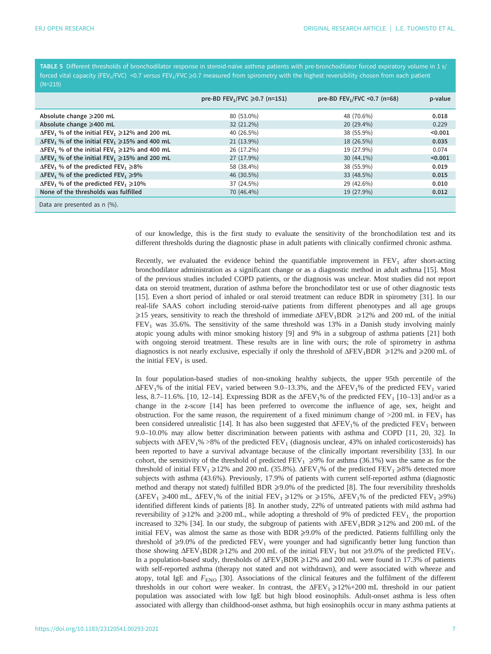<span id="page-6-0"></span>TABLE 5 Different thresholds of bronchodilator response in steroid-naïve asthma patients with pre-bronchodilator forced expiratory volume in 1 s/ forced vital capacity (FEV<sub>1</sub>/FVC) <0.7 versus FEV<sub>1</sub>/FVC  $\geq$ 0.7 measured from spirometry with the highest reversibility chosen from each patient

|                                                                                   | pre-BD FEV <sub>1</sub> /FVC ≥0.7 (n=151) | pre-BD FEV <sub>1</sub> /FVC < 0.7 (n=68) | p-value |
|-----------------------------------------------------------------------------------|-------------------------------------------|-------------------------------------------|---------|
| Absolute change ≥200 mL                                                           | 80 (53.0%)                                | 48 (70.6%)                                | 0.018   |
| Absolute change ≥400 mL                                                           | $32(21.2\%)$                              | 20 (29.4%)                                | 0.229   |
| $\Delta$ FEV <sub>1</sub> % of the initial FEV <sub>1</sub> $\geq$ 12% and 200 mL | 40 (26.5%)                                | 38 (55.9%)                                | < 0.001 |
| $\Delta$ FEV <sub>1</sub> % of the initial FEV <sub>1</sub> $\geq$ 15% and 400 mL | 21 (13.9%)                                | 18 (26.5%)                                | 0.035   |
| $\Delta$ FEV <sub>1</sub> % of the initial FEV <sub>1</sub> $\geq$ 12% and 400 mL | 26 (17.2%)                                | 19 (27.9%)                                | 0.074   |
| $\Delta$ FEV <sub>1</sub> % of the initial FEV <sub>1</sub> $\geq$ 15% and 200 mL | 27 (17.9%)                                | $30(44.1\%)$                              | < 0.001 |
| $\Delta$ FEV <sub>1</sub> % of the predicted FEV <sub>1</sub> $\geq$ 8%           | 58 (38.4%)                                | 38 (55.9%)                                | 0.019   |
| $\Delta$ FEV <sub>1</sub> % of the predicted FEV <sub>1</sub> $\geq$ 9%           | 46 (30.5%)                                | 33 (48.5%)                                | 0.015   |
| $\Delta$ FEV <sub>1</sub> % of the predicted FEV <sub>1</sub> $\geq$ 10%          | 37 (24.5%)                                | 29 (42.6%)                                | 0.010   |
| None of the thresholds was fulfilled                                              | 70 (46.4%)                                | 19 (27.9%)                                | 0.012   |
| Data are presented as n (%).                                                      |                                           |                                           |         |

of our knowledge, this is the first study to evaluate the sensitivity of the bronchodilation test and its different thresholds during the diagnostic phase in adult patients with clinically confirmed chronic asthma.

Recently, we evaluated the evidence behind the quantifiable improvement in  $FEV<sub>1</sub>$  after short-acting bronchodilator administration as a significant change or as a diagnostic method in adult asthma [\[15](#page-9-0)]. Most of the previous studies included COPD patients, or the diagnosis was unclear. Most studies did not report data on steroid treatment, duration of asthma before the bronchodilator test or use of other diagnostic tests [\[15](#page-9-0)]. Even a short period of inhaled or oral steroid treatment can reduce BDR in spirometry [[31](#page-9-0)]. In our real-life SAAS cohort including steroid-naïve patients from different phenotypes and all age groups  $\geq$ 15 years, sensitivity to reach the threshold of immediate  $\Delta$ FEV<sub>1</sub>BDR  $\geq$ 12% and 200 mL of the initial  $FEV<sub>1</sub>$  was 35.6%. The sensitivity of the same threshold was 13% in a Danish study involving mainly atopic young adults with minor smoking history [[9](#page-8-0)] and 9% in a subgroup of asthma patients [\[21](#page-9-0)] both with ongoing steroid treatment. These results are in line with ours; the role of spirometry in asthma diagnostics is not nearly exclusive, especially if only the threshold of  $\Delta FEV_1BDR \ge 12\%$  and  $\ge 200$  mL of the initial  $FEV<sub>1</sub>$  is used.

In four population-based studies of non-smoking healthy subjects, the upper 95th percentile of the  $\Delta$ FEV<sub>1</sub>% of the initial FEV<sub>1</sub> varied between 9.0–13.3%, and the  $\Delta$ FEV<sub>1</sub>% of the predicted FEV<sub>1</sub> varied less, 8.7–11.6%. [\[10](#page-8-0), [12](#page-8-0)–[14\]](#page-9-0). Expressing BDR as the  $\Delta FEV_1$ % of the predicted  $FEV_1$  [[10](#page-8-0)–[13](#page-9-0)] and/or as a change in the z-score [[14\]](#page-9-0) has been preferred to overcome the influence of age, sex, height and obstruction. For the same reason, the requirement of a fixed minimum change of  $>200$  mL in FEV<sub>1</sub> has been considered unrealistic [\[14](#page-9-0)]. It has also been suggested that  $\Delta FEV_1$ % of the predicted  $FEV_1$  between 9.0–10.0% may allow better discrimination between patients with asthma and COPD [\[11](#page-8-0), [20](#page-9-0), [32\]](#page-9-0). In subjects with  $\Delta FEV_1\% > 8\%$  of the predicted  $FEV_1$  (diagnosis unclear, 43% on inhaled corticosteroids) has been reported to have a survival advantage because of the clinically important reversibility [[33\]](#page-9-0). In our cohort, the sensitivity of the threshold of predicted  $FEV_1 \geq 9\%$  for asthma (36.1%) was the same as for the threshold of initial FEV<sub>1</sub> $\geq$ 12% and 200 mL (35.8%).  $\Delta$ FEV<sub>1</sub>% of the predicted FEV<sub>1</sub> $\geq$ 8% detected more subjects with asthma (43.6%). Previously, 17.9% of patients with current self-reported asthma (diagnostic method and therapy not stated) fulfilled BDR ≥9.0% of the predicted [[8](#page-8-0)]. The four reversibility thresholds  $(\Delta FEV_1 \geq 400 \text{ mL}, \Delta FEV_1\% \text{ of the initial FEV}_1 \geq 12\% \text{ or } \geq 15\%, \Delta FEV_1\% \text{ of the predicted FEV}_1 \geq 9\%)$ identified different kinds of patients [[8](#page-8-0)]. In another study, 22% of untreated patients with mild asthma had reversibility of  $\geq$ 12% and  $\geq$ 200 mL, while adopting a threshold of 9% of predicted FEV<sub>1</sub>, the proportion increased to 32% [[34\]](#page-9-0). In our study, the subgroup of patients with  $\Delta FEV_1BDR \geq 12\%$  and 200 mL of the initial FEV<sub>1</sub> was almost the same as those with BDR  $\geq$ 9.0% of the predicted. Patients fulfilling only the threshold of  $\geq$ 9.0% of the predicted FEV<sub>1</sub> were younger and had significantly better lung function than those showing  $\Delta FEV_1BDR \ge 12\%$  and 200 mL of the initial  $FEV_1$  but not  $\ge 9.0\%$  of the predicted  $FEV_1$ . In a population-based study, thresholds of  $\Delta$ FEV<sub>1</sub>BDR  $\geq$ 12% and 200 mL were found in 17.3% of patients with self-reported asthma (therapy not stated and not withdrawn), and were associated with wheeze and atopy, total IgE and  $F_{\text{ENO}}$  [[30\]](#page-9-0). Associations of the clinical features and the fulfilment of the different thresholds in our cohort were weaker. In contrast, the  $\Delta$ FEV<sub>1</sub>  $\geq$ 12%+200 mL threshold in our patient population was associated with low IgE but high blood eosinophils. Adult-onset asthma is less often associated with allergy than childhood-onset asthma, but high eosinophils occur in many asthma patients at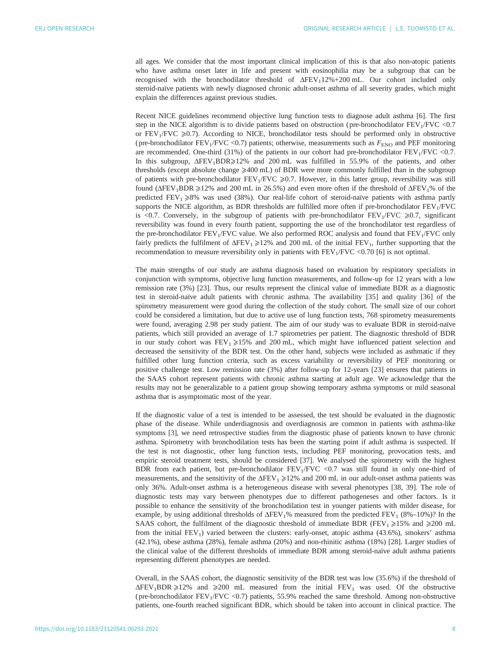all ages. We consider that the most important clinical implication of this is that also non-atopic patients who have asthma onset later in life and present with eosinophilia may be a subgroup that can be recognised with the bronchodilator threshold of ΔFEV<sub>1</sub>12%+200 mL. Our cohort included only steroid-naïve patients with newly diagnosed chronic adult-onset asthma of all severity grades, which might explain the differences against previous studies.

Recent NICE guidelines recommend objective lung function tests to diagnose adult asthma [\[6\]](#page-8-0). The first step in the NICE algorithm is to divide patients based on obstruction (pre-bronchodilator  $FEV<sub>1</sub>/FVC < 0.7$ ) or  $FEV<sub>1</sub>/FVC \ge 0.7$ ). According to NICE, bronchodilator tests should be performed only in obstructive (pre-bronchodilator FEV<sub>1</sub>/FVC <0.7) patients; otherwise, measurements such as  $F_{\text{ENO}}$  and PEF monitoring are recommended. One-third (31%) of the patients in our cohort had pre-bronchodilator  $FEV<sub>1</sub>/FVC$  <0.7. In this subgroup,  $\Delta FEV_1BDR \geq 12\%$  and 200 mL was fulfilled in 55.9% of the patients, and other thresholds (except absolute change  $\geq 400$  mL) of BDR were more commonly fulfilled than in the subgroup of patients with pre-bronchodilator  $FEV_1/FVC \geq 0.7$ . However, in this latter group, reversibility was still found ( $\Delta$ FEV<sub>1</sub>BDR  $\geq$ 12% and 200 mL in 26.5%) and even more often if the threshold of  $\Delta$ FEV<sub>1</sub>% of the predicted  $FEV_1 \ge 8\%$  was used (38%). Our real-life cohort of steroid-naïve patients with asthma partly supports the NICE algorithm, as BDR thresholds are fulfilled more often if pre-bronchodilator  $FEV<sub>1</sub>/FVC$ is <0.7. Conversely, in the subgroup of patients with pre-bronchodilator  $FEV<sub>1</sub>/FVC \ge 0.7$ , significant reversibility was found in every fourth patient, supporting the use of the bronchodilator test regardless of the pre-bronchodilator  $FEV_1/FVC$  value. We also performed ROC analysis and found that  $FEV_1/FVC$  only fairly predicts the fulfilment of  $\Delta FEV_1 \geq 12\%$  and 200 mL of the initial  $FEV_1$ , further supporting that the recommendation to measure reversibility only in patients with  $FEV<sub>1</sub>/FVC < 0.70$  [\[6](#page-8-0)] is not optimal.

The main strengths of our study are asthma diagnosis based on evaluation by respiratory specialists in conjunction with symptoms, objective lung function measurements, and follow-up for 12 years with a low remission rate (3%) [\[23](#page-9-0)]. Thus, our results represent the clinical value of immediate BDR as a diagnostic test in steroid-naïve adult patients with chronic asthma. The availability [[35\]](#page-9-0) and quality [\[36](#page-9-0)] of the spirometry measurement were good during the collection of the study cohort. The small size of our cohort could be considered a limitation, but due to active use of lung function tests, 768 spirometry measurements were found, averaging 2.98 per study patient. The aim of our study was to evaluate BDR in steroid-naïve patients, which still provided an average of 1.7 spirometries per patient. The diagnostic threshold of BDR in our study cohort was  $FEV_1 \ge 15\%$  and 200 mL, which might have influenced patient selection and decreased the sensitivity of the BDR test. On the other hand, subjects were included as asthmatic if they fulfilled other lung function criteria, such as excess variability or reversibility of PEF monitoring or positive challenge test. Low remission rate (3%) after follow-up for 12-years [[23\]](#page-9-0) ensures that patients in the SAAS cohort represent patients with chronic asthma starting at adult age. We acknowledge that the results may not be generalizable to a patient group showing temporary asthma symptoms or mild seasonal asthma that is asymptomatic most of the year.

If the diagnostic value of a test is intended to be assessed, the test should be evaluated in the diagnostic phase of the disease. While underdiagnosis and overdiagnosis are common in patients with asthma-like symptoms [\[3\]](#page-8-0), we need retrospective studies from the diagnostic phase of patients known to have chronic asthma. Spirometry with bronchodilation tests has been the starting point if adult asthma is suspected. If the test is not diagnostic, other lung function tests, including PEF monitoring, provocation tests, and empiric steroid treatment tests, should be considered [[37\]](#page-9-0). We analysed the spirometry with the highest BDR from each patient, but pre-bronchodilator  $FEV<sub>1</sub>/FVC$  <0.7 was still found in only one-third of measurements, and the sensitivity of the  $\Delta FEV_1 \geq 12\%$  and 200 mL in our adult-onset asthma patients was only 36%. Adult-onset asthma is a heterogeneous disease with several phenotypes [[38, 39\]](#page-9-0). The role of diagnostic tests may vary between phenotypes due to different pathogeneses and other factors. Is it possible to enhance the sensitivity of the bronchodilation test in younger patients with milder disease, for example, by using additional thresholds of  $\Delta FEV_1$ % measured from the predicted FEV<sub>1</sub> (8%–10%)? In the SAAS cohort, the fulfilment of the diagnostic threshold of immediate BDR (FEV<sub>1</sub> $\geq$ 15% and  $\geq$ 200 mL from the initial  $FEV<sub>1</sub>$ ) varied between the clusters: early-onset, atopic asthma (43.6%), smokers' asthma (42.1%), obese asthma (28%), female asthma (20%) and non-rhinitic asthma (18%) [\[28](#page-9-0)]. Larger studies of the clinical value of the different thresholds of immediate BDR among steroid-naïve adult asthma patients representing different phenotypes are needed.

Overall, in the SAAS cohort, the diagnostic sensitivity of the BDR test was low (35.6%) if the threshold of  $\Delta$ FEV<sub>1</sub>BDR  $\geq$ 12% and  $\geq$ 200 mL measured from the initial FEV<sub>1</sub> was used. Of the obstructive (pre-bronchodilator  $FEV_1/FVC$  <0.7) patients, 55.9% reached the same threshold. Among non-obstructive patients, one-fourth reached significant BDR, which should be taken into account in clinical practice. The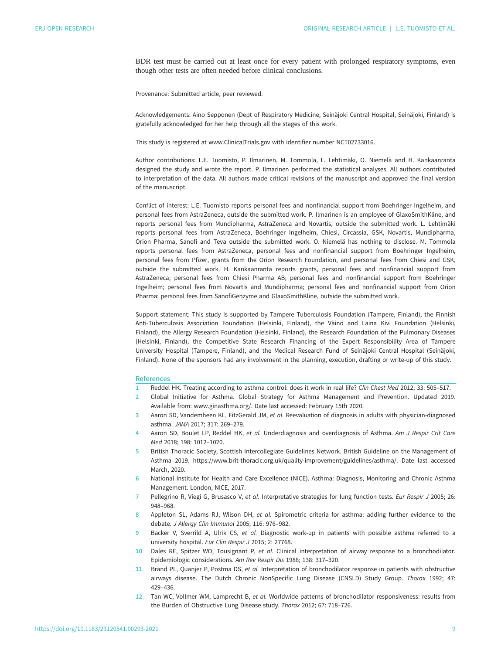<span id="page-8-0"></span>BDR test must be carried out at least once for every patient with prolonged respiratory symptoms, even though other tests are often needed before clinical conclusions.

Provenance: Submitted article, peer reviewed.

Acknowledgements: Aino Sepponen (Dept of Respiratory Medicine, Seinäjoki Central Hospital, Seinäjoki, Finland) is gratefully acknowledged for her help through all the stages of this work.

This study is registered at [www.ClinicalTrials.gov](https://clinicaltrials.gov/) with identifier number NCT02733016.

Author contributions: L.E. Tuomisto, P. Ilmarinen, M. Tommola, L. Lehtimäki, O. Niemelä and H. Kankaanranta designed the study and wrote the report. P. Ilmarinen performed the statistical analyses. All authors contributed to interpretation of the data. All authors made critical revisions of the manuscript and approved the final version of the manuscript.

Conflict of interest: L.E. Tuomisto reports personal fees and nonfinancial support from Boehringer Ingelheim, and personal fees from AstraZeneca, outside the submitted work. P. Ilmarinen is an employee of GlaxoSmithKline, and reports personal fees from Mundipharma, AstraZeneca and Novartis, outside the submitted work. L. Lehtimäki reports personal fees from AstraZeneca, Boehringer Ingelheim, Chiesi, Circassia, GSK, Novartis, Mundipharma, Orion Pharma, Sanofi and Teva outside the submitted work. O. Niemelä has nothing to disclose. M. Tommola reports personal fees from AstraZeneca, personal fees and nonfinancial support from Boehringer Ingelheim, personal fees from Pfizer, grants from the Orion Research Foundation, and personal fees from Chiesi and GSK, outside the submitted work. H. Kankaanranta reports grants, personal fees and nonfinancial support from AstraZeneca; personal fees from Chiesi Pharma AB; personal fees and nonfinancial support from Boehringer Ingelheim; personal fees from Novartis and Mundipharma; personal fees and nonfinancial support from Orion Pharma; personal fees from SanofiGenzyme and GlaxoSmithKline, outside the submitted work.

Support statement: This study is supported by Tampere Tuberculosis Foundation (Tampere, Finland), the Finnish Anti-Tuberculosis Association Foundation (Helsinki, Finland), the Väinö and Laina Kivi Foundation (Helsinki, Finland), the Allergy Research Foundation (Helsinki, Finland), the Research Foundation of the Pulmonary Diseases (Helsinki, Finland), the Competitive State Research Financing of the Expert Responsibility Area of Tampere University Hospital (Tampere, Finland), and the Medical Research Fund of Seinäjoki Central Hospital (Seinäjoki, Finland). None of the sponsors had any involvement in the planning, execution, drafting or write-up of this study.

#### References

- 1 Reddel HK. Treating according to asthma control: does it work in real life? Clin Chest Med 2012; 33: 505–517.
- 2 Global Initiative for Asthma. Global Strategy for Asthma Management and Prevention. Updated 2019. Available from: [www.ginasthma.org/](http://www.ginasthma.org/). Date last accessed: February 15th 2020.
- 3 Aaron SD, Vandemheen KL, FitzGerald JM, et al. Reevaluation of diagnosis in adults with physician-diagnosed asthma. JAMA 2017; 317: 269–279.
- 4 Aaron SD, Boulet LP, Reddel HK, et al. Underdiagnosis and overdiagnosis of Asthma. Am J Respir Crit Care Med 2018; 198: 1012–1020.
- 5 British Thoracic Society, Scottish Intercollegiate Guidelines Network. British Guideline on the Management of Asthma 2019.<https://www.brit-thoracic.org.uk/quality-improvement/guidelines/asthma/>. Date last accessed March, 2020.
- 6 National Institute for Health and Care Excellence (NICE). Asthma: Diagnosis, Monitoring and Chronic Asthma Management. London, NICE, 2017.
- 7 Pellegrino R, Viegi G, Brusasco V, et al. Interpretative strategies for lung function tests. Eur Respir J 2005; 26: 948–968.
- 8 Appleton SL, Adams RJ, Wilson DH, et al. Spirometric criteria for asthma: adding further evidence to the debate. J Allergy Clin Immunol 2005; 116: 976–982.
- 9 Backer V, Sverrild A, Ulrik CS, et al. Diagnostic work-up in patients with possible asthma referred to a university hospital. Eur Clin Respir J 2015; 2: 27768.
- 10 Dales RE, Spitzer WO, Tousignant P, et al. Clinical interpretation of airway response to a bronchodilator. Epidemiologic considerations. Am Rev Respir Dis 1988; 138: 317–320.
- 11 Brand PL, Quanjer P, Postma DS, et al. Interpretation of bronchodilator response in patients with obstructive airways disease. The Dutch Chronic NonSpecific Lung Disease (CNSLD) Study Group. Thorax 1992; 47: 429–436.
- 12 Tan WC, Vollmer WM, Lamprecht B, et al. Worldwide patterns of bronchodilator responsiveness: results from the Burden of Obstructive Lung Disease study. Thorax 2012; 67: 718–726.